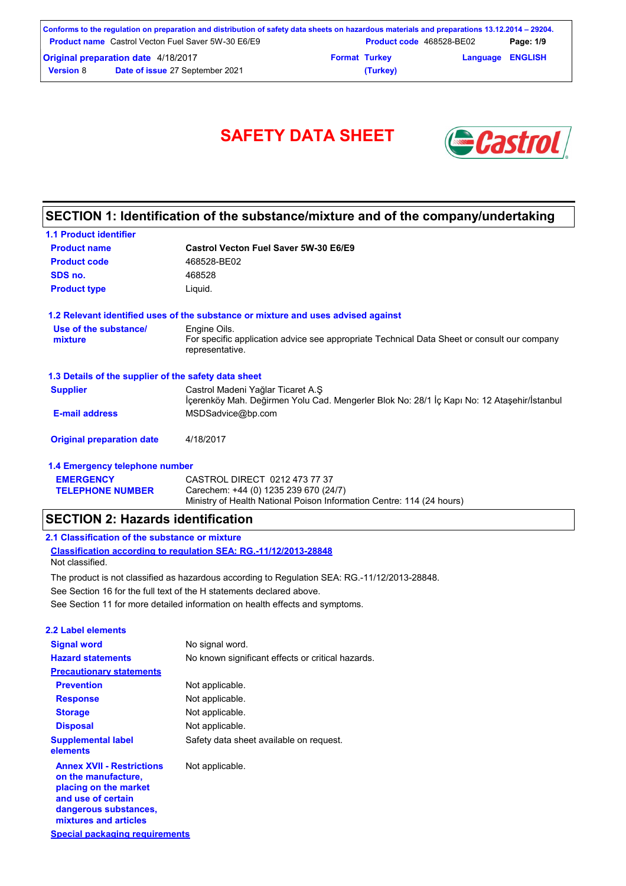|                                            | Conforms to the regulation on preparation and distribution of safety data sheets on hazardous materials and preparations 13.12.2014 – 29204. |                      |                                 |                         |           |
|--------------------------------------------|----------------------------------------------------------------------------------------------------------------------------------------------|----------------------|---------------------------------|-------------------------|-----------|
|                                            | <b>Product name</b> Castrol Vecton Fuel Saver 5W-30 E6/E9                                                                                    |                      | <b>Product code</b> 468528-BE02 |                         | Page: 1/9 |
| <b>Original preparation date 4/18/2017</b> |                                                                                                                                              | <b>Format Turkey</b> |                                 | <b>Language ENGLISH</b> |           |
| <b>Version 8</b>                           | <b>Date of issue 27 September 2021</b>                                                                                                       |                      | (Turkey)                        |                         |           |

# SAFETY DATA SHEET **& Castro**



## **SECTION 1: Identification of the substance/mixture and of the company/undertaking**

| <b>1.1 Product identifier</b>                        |                                                                                                                                 |
|------------------------------------------------------|---------------------------------------------------------------------------------------------------------------------------------|
| <b>Product name</b>                                  | Castrol Vecton Fuel Saver 5W-30 E6/E9                                                                                           |
| <b>Product code</b>                                  | 468528-BE02                                                                                                                     |
| SDS no.                                              | 468528                                                                                                                          |
| <b>Product type</b>                                  | Liquid.                                                                                                                         |
|                                                      | 1.2 Relevant identified uses of the substance or mixture and uses advised against                                               |
| Use of the substance/                                | Engine Oils.                                                                                                                    |
| mixture                                              | For specific application advice see appropriate Technical Data Sheet or consult our company<br>representative.                  |
| 1.3 Details of the supplier of the safety data sheet |                                                                                                                                 |
| <b>Supplier</b>                                      | Castrol Madeni Yağlar Ticaret A.Ş<br>İçerenköy Mah. Değirmen Yolu Cad. Mengerler Blok No: 28/1 İç Kapı No: 12 Ataşehir/İstanbul |
| <b>E-mail address</b>                                | MSDSadvice@bp.com                                                                                                               |
| <b>Original preparation date</b>                     | 4/18/2017                                                                                                                       |
| 1.4 Emergency telephone number                       |                                                                                                                                 |
| <b>EMERGENCY</b>                                     | CASTROL DIRECT 0212 473 77 37                                                                                                   |
| <b>TELEPHONE NUMBER</b>                              | Carechem: +44 (0) 1235 239 670 (24/7)                                                                                           |

Ministry of Health National Poison Information Centre: 114 (24 hours)

### **SECTION 2: Hazards identification**

### **2.1 Classification of the substance or mixture**

**Classification according to regulation SEA: RG.-11/12/2013-28848** Not classified.

See Section 11 for more detailed information on health effects and symptoms. See Section 16 for the full text of the H statements declared above. The product is not classified as hazardous according to Regulation SEA: RG.-11/12/2013-28848.

| 2.2 Label elements                                                                                                                                       |                                                   |
|----------------------------------------------------------------------------------------------------------------------------------------------------------|---------------------------------------------------|
| <b>Signal word</b>                                                                                                                                       | No signal word.                                   |
| <b>Hazard statements</b>                                                                                                                                 | No known significant effects or critical hazards. |
| <b>Precautionary statements</b>                                                                                                                          |                                                   |
| <b>Prevention</b>                                                                                                                                        | Not applicable.                                   |
| <b>Response</b>                                                                                                                                          | Not applicable.                                   |
| <b>Storage</b>                                                                                                                                           | Not applicable.                                   |
| <b>Disposal</b>                                                                                                                                          | Not applicable.                                   |
| <b>Supplemental label</b><br>elements                                                                                                                    | Safety data sheet available on request.           |
| <b>Annex XVII - Restrictions</b><br>on the manufacture,<br>placing on the market<br>and use of certain<br>dangerous substances,<br>mixtures and articles | Not applicable.                                   |
| <b>Special packaging requirements</b>                                                                                                                    |                                                   |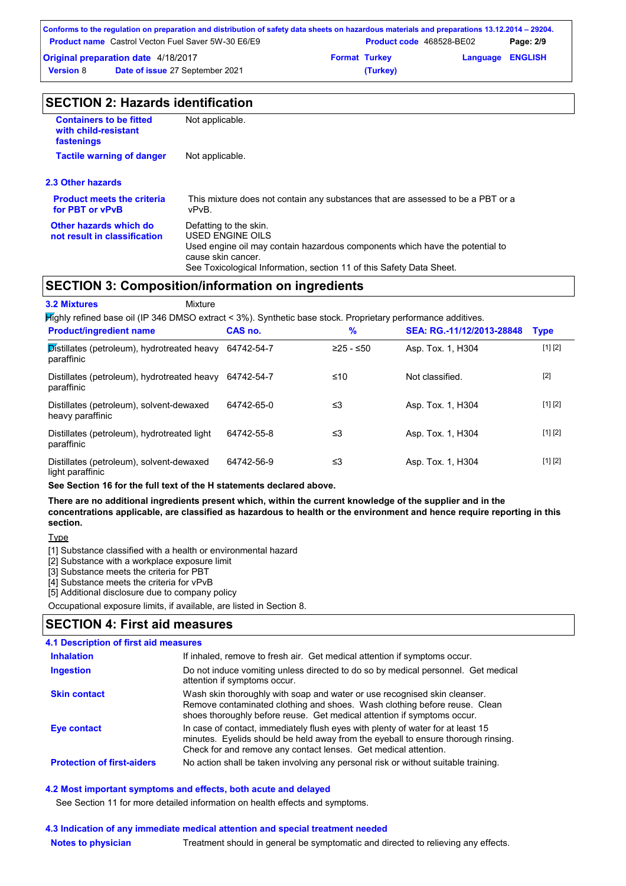|                  | Conforms to the regulation on preparation and distribution of safety data sheets on hazardous materials and preparations 13.12.2014 – 29204. |                      |                          |                         |           |
|------------------|----------------------------------------------------------------------------------------------------------------------------------------------|----------------------|--------------------------|-------------------------|-----------|
|                  | <b>Product name</b> Castrol Vecton Fuel Saver 5W-30 E6/E9                                                                                    |                      | Product code 468528-BE02 |                         | Page: 2/9 |
|                  | <b>Original preparation date 4/18/2017</b>                                                                                                   | <b>Format Turkey</b> |                          | <b>Language ENGLISH</b> |           |
| <b>Version 8</b> | Date of issue 27 September 2021                                                                                                              |                      | (Turkey)                 |                         |           |

| <b>SECTION 2: Hazards identification</b> |  |
|------------------------------------------|--|
|------------------------------------------|--|

| <b>Containers to be fitted</b><br>with child-resistant<br>fastenings | Not applicable.                                                                                                                                                                                                          |
|----------------------------------------------------------------------|--------------------------------------------------------------------------------------------------------------------------------------------------------------------------------------------------------------------------|
| <b>Tactile warning of danger</b>                                     | Not applicable.                                                                                                                                                                                                          |
| 2.3 Other hazards                                                    |                                                                                                                                                                                                                          |
| <b>Product meets the criteria</b><br>for PBT or vPvB                 | This mixture does not contain any substances that are assessed to be a PBT or a<br>vPvB.                                                                                                                                 |
| Other hazards which do<br>not result in classification               | Defatting to the skin.<br>USED ENGINE OILS<br>Used engine oil may contain hazardous components which have the potential to<br>cause skin cancer.<br>See Toxicological Information, section 11 of this Safety Data Sheet. |
|                                                                      | <b>SECTION 3: Composition/information on ingredients</b>                                                                                                                                                                 |

### **SECTION 3: Composition/information on ingredients**

| <b>3.2 Mixtures</b><br>Mixture                                                                               |            |             |                           |             |
|--------------------------------------------------------------------------------------------------------------|------------|-------------|---------------------------|-------------|
| Highly refined base oil (IP 346 DMSO extract < 3%). Synthetic base stock. Proprietary performance additives. |            |             |                           |             |
| <b>Product/ingredient name</b>                                                                               | CAS no.    | $\%$        | SEA: RG.-11/12/2013-28848 | <b>Type</b> |
| Distillates (petroleum), hydrotreated heavy<br>paraffinic                                                    | 64742-54-7 | $≥25 - ≤50$ | Asp. Tox. 1, H304         | [1] [2]     |
| Distillates (petroleum), hydrotreated heavy<br>paraffinic                                                    | 64742-54-7 | ≤10         | Not classified.           | $[2]$       |
| Distillates (petroleum), solvent-dewaxed<br>heavy paraffinic                                                 | 64742-65-0 | ≤3          | Asp. Tox. 1, H304         | [1] [2]     |
| Distillates (petroleum), hydrotreated light<br>paraffinic                                                    | 64742-55-8 | ≤3          | Asp. Tox. 1, H304         | [1] [2]     |
| Distillates (petroleum), solvent-dewaxed                                                                     | 64742-56-9 | ≤3          | Asp. Tox. 1, H304         | [1] [2]     |

**See Section 16 for the full text of the H statements declared above.**

**There are no additional ingredients present which, within the current knowledge of the supplier and in the concentrations applicable, are classified as hazardous to health or the environment and hence require reporting in this section.**

Type

light paraffinic

[1] Substance classified with a health or environmental hazard

[2] Substance with a workplace exposure limit

[3] Substance meets the criteria for PBT

[4] Substance meets the criteria for vPvB

[5] Additional disclosure due to company policy

Occupational exposure limits, if available, are listed in Section 8.

## **SECTION 4: First aid measures**

## **4.1 Description of first aid measures**

| <b>Inhalation</b>                 | If inhaled, remove to fresh air. Get medical attention if symptoms occur.                                                                                                                                                               |
|-----------------------------------|-----------------------------------------------------------------------------------------------------------------------------------------------------------------------------------------------------------------------------------------|
| <b>Ingestion</b>                  | Do not induce vomiting unless directed to do so by medical personnel. Get medical<br>attention if symptoms occur.                                                                                                                       |
| <b>Skin contact</b>               | Wash skin thoroughly with soap and water or use recognised skin cleanser.<br>Remove contaminated clothing and shoes. Wash clothing before reuse. Clean<br>shoes thoroughly before reuse. Get medical attention if symptoms occur.       |
| <b>Eye contact</b>                | In case of contact, immediately flush eyes with plenty of water for at least 15<br>minutes. Eyelids should be held away from the eyeball to ensure thorough rinsing.<br>Check for and remove any contact lenses. Get medical attention. |
| <b>Protection of first-aiders</b> | No action shall be taken involving any personal risk or without suitable training.                                                                                                                                                      |

#### **4.2 Most important symptoms and effects, both acute and delayed**

See Section 11 for more detailed information on health effects and symptoms.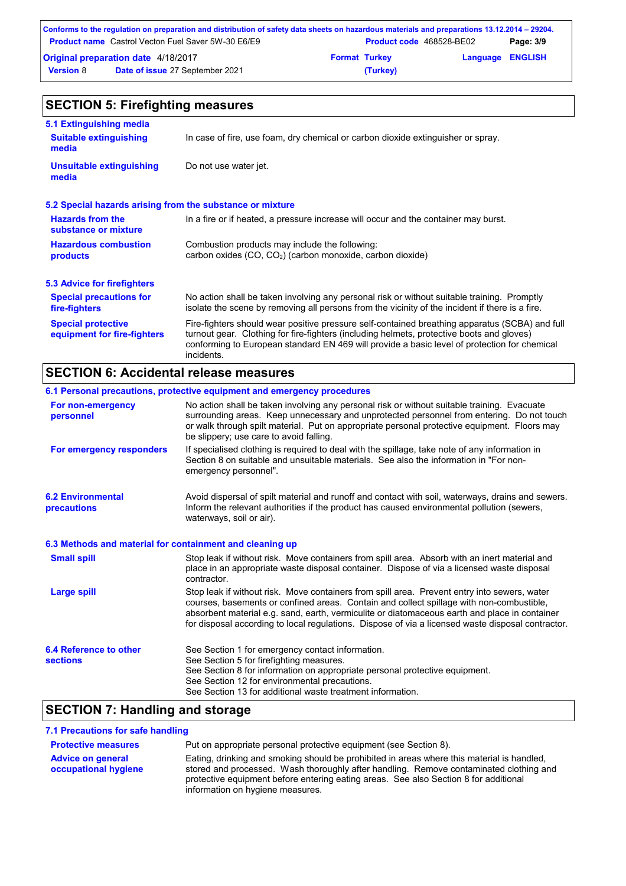|                                            | Conforms to the regulation on preparation and distribution of safety data sheets on hazardous materials and preparations 13.12.2014 – 29204. |                      |                          |                         |           |
|--------------------------------------------|----------------------------------------------------------------------------------------------------------------------------------------------|----------------------|--------------------------|-------------------------|-----------|
|                                            | <b>Product name</b> Castrol Vecton Fuel Saver 5W-30 E6/E9                                                                                    |                      | Product code 468528-BE02 |                         | Page: 3/9 |
| <b>Original preparation date 4/18/2017</b> |                                                                                                                                              | <b>Format Turkey</b> |                          | <b>Language ENGLISH</b> |           |
| <b>Version 8</b>                           | Date of issue 27 September 2021                                                                                                              |                      | (Turkey)                 |                         |           |

#### No action shall be taken involving any personal risk or without suitable training. Promptly isolate the scene by removing all persons from the vicinity of the incident if there is a fire. **Hazardous combustion products Hazards from the substance or mixture** Combustion products may include the following: carbon oxides (CO, CO2) (carbon monoxide, carbon dioxide) In a fire or if heated, a pressure increase will occur and the container may burst. Fire-fighters should wear positive pressure self-contained breathing apparatus (SCBA) and full turnout gear. Clothing for fire-fighters (including helmets, protective boots and gloves) conforming to European standard EN 469 will provide a basic level of protection for chemical incidents. **Special protective equipment for fire-fighters** In case of fire, use foam, dry chemical or carbon dioxide extinguisher or spray. **5.1 Extinguishing media** Do not use water jet. **Suitable extinguishing media Unsuitable extinguishing media SECTION 5: Firefighting measures 5.2 Special hazards arising from the substance or mixture 5.3 Advice for firefighters Special precautions for fire-fighters**

### **SECTION 6: Accidental release measures**

|                                                          | 6.1 Personal precautions, protective equipment and emergency procedures                                                                                                                                                                                                                                                                                                                        |
|----------------------------------------------------------|------------------------------------------------------------------------------------------------------------------------------------------------------------------------------------------------------------------------------------------------------------------------------------------------------------------------------------------------------------------------------------------------|
| For non-emergency<br>personnel                           | No action shall be taken involving any personal risk or without suitable training. Evacuate<br>surrounding areas. Keep unnecessary and unprotected personnel from entering. Do not touch<br>or walk through spilt material. Put on appropriate personal protective equipment. Floors may<br>be slippery; use care to avoid falling.                                                            |
| For emergency responders                                 | If specialised clothing is required to deal with the spillage, take note of any information in<br>Section 8 on suitable and unsuitable materials. See also the information in "For non-<br>emergency personnel".                                                                                                                                                                               |
| <b>6.2 Environmental</b><br>precautions                  | Avoid dispersal of spilt material and runoff and contact with soil, waterways, drains and sewers.<br>Inform the relevant authorities if the product has caused environmental pollution (sewers,<br>waterways, soil or air).                                                                                                                                                                    |
| 6.3 Methods and material for containment and cleaning up |                                                                                                                                                                                                                                                                                                                                                                                                |
| <b>Small spill</b>                                       | Stop leak if without risk. Move containers from spill area. Absorb with an inert material and<br>place in an appropriate waste disposal container. Dispose of via a licensed waste disposal<br>contractor.                                                                                                                                                                                     |
| <b>Large spill</b>                                       | Stop leak if without risk. Move containers from spill area. Prevent entry into sewers, water<br>courses, basements or confined areas. Contain and collect spillage with non-combustible,<br>absorbent material e.g. sand, earth, vermiculite or diatomaceous earth and place in container<br>for disposal according to local regulations. Dispose of via a licensed waste disposal contractor. |
| 6.4 Reference to other<br><b>sections</b>                | See Section 1 for emergency contact information.<br>See Section 5 for firefighting measures.<br>See Section 8 for information on appropriate personal protective equipment.<br>See Section 12 for environmental precautions.<br>See Section 13 for additional waste treatment information.                                                                                                     |

## **SECTION 7: Handling and storage**

#### **7.1 Precautions for safe handling**

| <b>Protective measures</b>                       | Put on appropriate personal protective equipment (see Section 8).                                                                                                                                                                                                                                                |
|--------------------------------------------------|------------------------------------------------------------------------------------------------------------------------------------------------------------------------------------------------------------------------------------------------------------------------------------------------------------------|
| <b>Advice on general</b><br>occupational hygiene | Eating, drinking and smoking should be prohibited in areas where this material is handled,<br>stored and processed. Wash thoroughly after handling. Remove contaminated clothing and<br>protective equipment before entering eating areas. See also Section 8 for additional<br>information on hygiene measures. |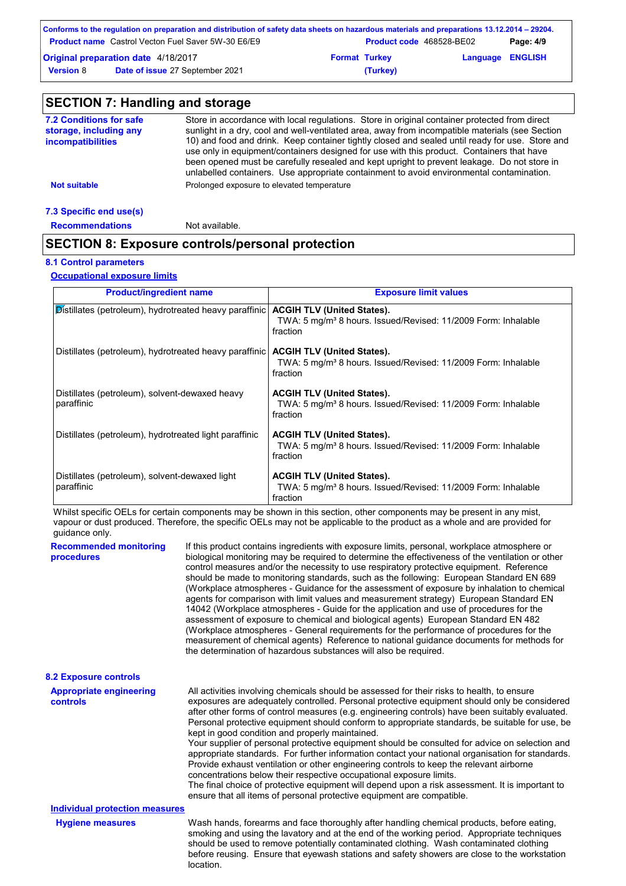|                  | Conforms to the regulation on preparation and distribution of safety data sheets on hazardous materials and preparations 13.12.2014 – 29204. |                      |                          |                         |           |
|------------------|----------------------------------------------------------------------------------------------------------------------------------------------|----------------------|--------------------------|-------------------------|-----------|
|                  | <b>Product name</b> Castrol Vecton Fuel Saver 5W-30 E6/E9                                                                                    |                      | Product code 468528-BE02 |                         | Page: 4/9 |
|                  | <b>Original preparation date 4/18/2017</b>                                                                                                   | <b>Format Turkey</b> |                          | <b>Language ENGLISH</b> |           |
| <b>Version 8</b> | Date of issue 27 September 2021                                                                                                              |                      | (Turkey)                 |                         |           |

#### **SECTION 7: Handling and storage** Store in accordance with local regulations. Store in original container protected from direct sunlight in a dry, cool and well-ventilated area, away from incompatible materials (see Section 10) and food and drink. Keep container tightly closed and sealed until ready for use. Store and use only in equipment/containers designed for use with this product. Containers that have been opened must be carefully resealed and kept upright to prevent leakage. Do not store in unlabelled containers. Use appropriate containment to avoid environmental contamination. **7.2 Conditions for safe storage, including any incompatibilities Not suitable Not suitable** Prolonged exposure to elevated temperature

#### **7.3 Specific end use(s)**

**Recommendations** Not available.

## **SECTION 8: Exposure controls/personal protection**

### **8.1 Control parameters**

**Occupational exposure limits**

| <b>Product/ingredient name</b>                               | <b>Exposure limit values</b>                                                                                               |
|--------------------------------------------------------------|----------------------------------------------------------------------------------------------------------------------------|
| Distillates (petroleum), hydrotreated heavy paraffinic       | <b>ACGIH TLV (United States).</b><br>TWA: 5 mg/m <sup>3</sup> 8 hours. Issued/Revised: 11/2009 Form: Inhalable<br>fraction |
| Distillates (petroleum), hydrotreated heavy paraffinic       | <b>ACGIH TLV (United States).</b><br>TWA: 5 mg/m <sup>3</sup> 8 hours. Issued/Revised: 11/2009 Form: Inhalable<br>fraction |
| Distillates (petroleum), solvent-dewaxed heavy<br>paraffinic | <b>ACGIH TLV (United States).</b><br>TWA: 5 mg/m <sup>3</sup> 8 hours. Issued/Revised: 11/2009 Form: Inhalable<br>fraction |
| Distillates (petroleum), hydrotreated light paraffinic       | <b>ACGIH TLV (United States).</b><br>TWA: 5 mg/m <sup>3</sup> 8 hours. Issued/Revised: 11/2009 Form: Inhalable<br>fraction |
| Distillates (petroleum), solvent-dewaxed light<br>paraffinic | <b>ACGIH TLV (United States).</b><br>TWA: 5 mg/m <sup>3</sup> 8 hours. Issued/Revised: 11/2009 Form: Inhalable<br>fraction |

Whilst specific OELs for certain components may be shown in this section, other components may be present in any mist, vapour or dust produced. Therefore, the specific OELs may not be applicable to the product as a whole and are provided for guidance only.

| <b>Recommended monitoring</b><br>procedures       | If this product contains ingredients with exposure limits, personal, workplace atmosphere or<br>biological monitoring may be required to determine the effectiveness of the ventilation or other<br>control measures and/or the necessity to use respiratory protective equipment. Reference<br>should be made to monitoring standards, such as the following: European Standard EN 689<br>(Workplace atmospheres - Guidance for the assessment of exposure by inhalation to chemical<br>agents for comparison with limit values and measurement strategy) European Standard EN<br>14042 (Workplace atmospheres - Guide for the application and use of procedures for the<br>assessment of exposure to chemical and biological agents) European Standard EN 482<br>(Workplace atmospheres - General requirements for the performance of procedures for the<br>measurement of chemical agents) Reference to national guidance documents for methods for<br>the determination of hazardous substances will also be required. |
|---------------------------------------------------|----------------------------------------------------------------------------------------------------------------------------------------------------------------------------------------------------------------------------------------------------------------------------------------------------------------------------------------------------------------------------------------------------------------------------------------------------------------------------------------------------------------------------------------------------------------------------------------------------------------------------------------------------------------------------------------------------------------------------------------------------------------------------------------------------------------------------------------------------------------------------------------------------------------------------------------------------------------------------------------------------------------------------|
| <b>8.2 Exposure controls</b>                      |                                                                                                                                                                                                                                                                                                                                                                                                                                                                                                                                                                                                                                                                                                                                                                                                                                                                                                                                                                                                                            |
| <b>Appropriate engineering</b><br><b>controls</b> | All activities involving chemicals should be assessed for their risks to health, to ensure<br>exposures are adequately controlled. Personal protective equipment should only be considered<br>after other forms of control measures (e.g. engineering controls) have been suitably evaluated.<br>Personal protective equipment should conform to appropriate standards, be suitable for use, be<br>kept in good condition and properly maintained.<br>Your supplier of personal protective equipment should be consulted for advice on selection and<br>appropriate standards. For further information contact your national organisation for standards.<br>Provide exhaust ventilation or other engineering controls to keep the relevant airborne<br>concentrations below their respective occupational exposure limits.<br>The final choice of protective equipment will depend upon a risk assessment. It is important to<br>ensure that all items of personal protective equipment are compatible.                    |
| <b>Individual protection measures</b>             |                                                                                                                                                                                                                                                                                                                                                                                                                                                                                                                                                                                                                                                                                                                                                                                                                                                                                                                                                                                                                            |
| <b>Hygiene measures</b>                           | Wash hands, forearms and face thoroughly after handling chemical products, before eating,<br>smoking and using the lavatory and at the end of the working period. Appropriate techniques<br>should be used to remove potentially contaminated clothing. Wash contaminated clothing<br>before reusing. Ensure that eyewash stations and safety showers are close to the workstation<br>location.                                                                                                                                                                                                                                                                                                                                                                                                                                                                                                                                                                                                                            |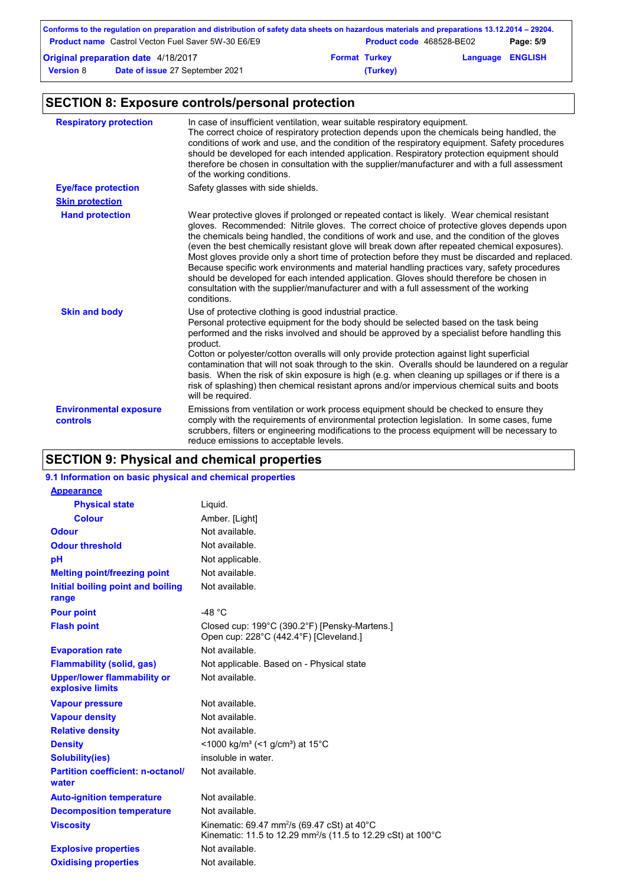| Conforms to the regulation on preparation and distribution of safety data sheets on hazardous materials and preparations 13.12.2014 – 29204. |                                                           |                      |                          |                         |           |  |
|----------------------------------------------------------------------------------------------------------------------------------------------|-----------------------------------------------------------|----------------------|--------------------------|-------------------------|-----------|--|
|                                                                                                                                              | <b>Product name</b> Castrol Vecton Fuel Saver 5W-30 E6/E9 |                      | Product code 468528-BE02 |                         | Page: 5/9 |  |
| <b>Original preparation date 4/18/2017</b>                                                                                                   |                                                           | <b>Format Turkey</b> |                          | <b>Language ENGLISH</b> |           |  |
| <b>Version 8</b>                                                                                                                             | Date of issue 27 September 2021                           |                      | (Turkey)                 |                         |           |  |

## **SECTION 8: Exposure controls/personal protection**

| <b>Respiratory protection</b>                    | In case of insufficient ventilation, wear suitable respiratory equipment.<br>The correct choice of respiratory protection depends upon the chemicals being handled, the<br>conditions of work and use, and the condition of the respiratory equipment. Safety procedures<br>should be developed for each intended application. Respiratory protection equipment should<br>therefore be chosen in consultation with the supplier/manufacturer and with a full assessment<br>of the working conditions.                                                                                                                                                                                                                                                                                        |
|--------------------------------------------------|----------------------------------------------------------------------------------------------------------------------------------------------------------------------------------------------------------------------------------------------------------------------------------------------------------------------------------------------------------------------------------------------------------------------------------------------------------------------------------------------------------------------------------------------------------------------------------------------------------------------------------------------------------------------------------------------------------------------------------------------------------------------------------------------|
| <b>Eye/face protection</b>                       | Safety glasses with side shields.                                                                                                                                                                                                                                                                                                                                                                                                                                                                                                                                                                                                                                                                                                                                                            |
| <b>Skin protection</b>                           |                                                                                                                                                                                                                                                                                                                                                                                                                                                                                                                                                                                                                                                                                                                                                                                              |
| <b>Hand protection</b>                           | Wear protective gloves if prolonged or repeated contact is likely. Wear chemical resistant<br>gloves. Recommended: Nitrile gloves. The correct choice of protective gloves depends upon<br>the chemicals being handled, the conditions of work and use, and the condition of the gloves<br>(even the best chemically resistant glove will break down after repeated chemical exposures).<br>Most gloves provide only a short time of protection before they must be discarded and replaced.<br>Because specific work environments and material handling practices vary, safety procedures<br>should be developed for each intended application. Gloves should therefore be chosen in<br>consultation with the supplier/manufacturer and with a full assessment of the working<br>conditions. |
| <b>Skin and body</b>                             | Use of protective clothing is good industrial practice.<br>Personal protective equipment for the body should be selected based on the task being<br>performed and the risks involved and should be approved by a specialist before handling this<br>product.<br>Cotton or polyester/cotton overalls will only provide protection against light superficial<br>contamination that will not soak through to the skin. Overalls should be laundered on a regular<br>basis. When the risk of skin exposure is high (e.g. when cleaning up spillages or if there is a<br>risk of splashing) then chemical resistant aprons and/or impervious chemical suits and boots<br>will be required.                                                                                                        |
| <b>Environmental exposure</b><br><b>controls</b> | Emissions from ventilation or work process equipment should be checked to ensure they<br>comply with the requirements of environmental protection legislation. In some cases, fume<br>scrubbers, filters or engineering modifications to the process equipment will be necessary to<br>reduce emissions to acceptable levels.                                                                                                                                                                                                                                                                                                                                                                                                                                                                |

## **SECTION 9: Physical and chemical properties**

| 9.1 Information on basic physical and chemical properties |                                                                                                                                                                  |
|-----------------------------------------------------------|------------------------------------------------------------------------------------------------------------------------------------------------------------------|
| <b>Appearance</b>                                         |                                                                                                                                                                  |
| <b>Physical state</b>                                     | Liquid.                                                                                                                                                          |
| <b>Colour</b>                                             | Amber. [Light]                                                                                                                                                   |
| <b>Odour</b>                                              | Not available.                                                                                                                                                   |
| <b>Odour threshold</b>                                    | Not available.                                                                                                                                                   |
| pH                                                        | Not applicable.                                                                                                                                                  |
| <b>Melting point/freezing point</b>                       | Not available.                                                                                                                                                   |
| Initial boiling point and boiling<br>range                | Not available.                                                                                                                                                   |
| <b>Pour point</b>                                         | -48 $^{\circ}$ C                                                                                                                                                 |
| <b>Flash point</b>                                        | Closed cup: 199°C (390.2°F) [Pensky-Martens.]<br>Open cup: 228°C (442.4°F) [Cleveland.]                                                                          |
| <b>Evaporation rate</b>                                   | Not available.                                                                                                                                                   |
| <b>Flammability (solid, gas)</b>                          | Not applicable. Based on - Physical state                                                                                                                        |
| <b>Upper/lower flammability or</b><br>explosive limits    | Not available.                                                                                                                                                   |
| <b>Vapour pressure</b>                                    | Not available.                                                                                                                                                   |
| <b>Vapour density</b>                                     | Not available.                                                                                                                                                   |
| <b>Relative density</b>                                   | Not available.                                                                                                                                                   |
| <b>Density</b>                                            | <1000 kg/m <sup>3</sup> (<1 g/cm <sup>3</sup> ) at 15 <sup>°</sup> C                                                                                             |
| <b>Solubility(ies)</b>                                    | insoluble in water.                                                                                                                                              |
| <b>Partition coefficient: n-octanol/</b><br>water         | Not available.                                                                                                                                                   |
| <b>Auto-ignition temperature</b>                          | Not available.                                                                                                                                                   |
| <b>Decomposition temperature</b><br><b>Viscosity</b>      | Not available.<br>Kinematic: 69.47 mm <sup>2</sup> /s (69.47 cSt) at 40 $^{\circ}$ C<br>Kinematic: 11.5 to 12.29 mm <sup>2</sup> /s (11.5 to 12.29 cSt) at 100°C |
| <b>Explosive properties</b>                               | Not available.                                                                                                                                                   |
| <b>Oxidising properties</b>                               | Not available.                                                                                                                                                   |
|                                                           |                                                                                                                                                                  |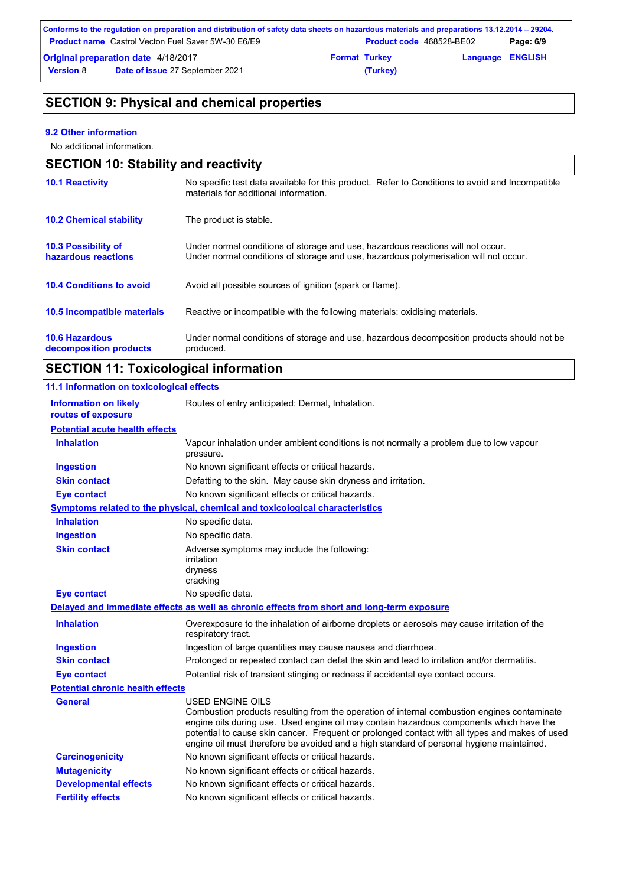| Conforms to the regulation on preparation and distribution of safety data sheets on hazardous materials and preparations 13.12.2014 – 29204. |                                                           |  |                                 |                         |           |  |
|----------------------------------------------------------------------------------------------------------------------------------------------|-----------------------------------------------------------|--|---------------------------------|-------------------------|-----------|--|
|                                                                                                                                              | <b>Product name</b> Castrol Vecton Fuel Saver 5W-30 E6/E9 |  | <b>Product code</b> 468528-BE02 |                         | Page: 6/9 |  |
| <b>Original preparation date 4/18/2017</b>                                                                                                   |                                                           |  | <b>Format Turkey</b>            | <b>Language ENGLISH</b> |           |  |
| <b>Version 8</b>                                                                                                                             | <b>Date of issue 27 September 2021</b>                    |  | (Turkey)                        |                         |           |  |

## **SECTION 9: Physical and chemical properties**

### **9.2 Other information**

No additional information.

| <b>SECTION 10: Stability and reactivity</b>       |                                                                                                                                                                         |  |  |
|---------------------------------------------------|-------------------------------------------------------------------------------------------------------------------------------------------------------------------------|--|--|
| <b>10.1 Reactivity</b>                            | No specific test data available for this product. Refer to Conditions to avoid and Incompatible<br>materials for additional information.                                |  |  |
| <b>10.2 Chemical stability</b>                    | The product is stable.                                                                                                                                                  |  |  |
| <b>10.3 Possibility of</b><br>hazardous reactions | Under normal conditions of storage and use, hazardous reactions will not occur.<br>Under normal conditions of storage and use, hazardous polymerisation will not occur. |  |  |
| <b>10.4 Conditions to avoid</b>                   | Avoid all possible sources of ignition (spark or flame).                                                                                                                |  |  |
| 10.5 Incompatible materials                       | Reactive or incompatible with the following materials: oxidising materials.                                                                                             |  |  |
| <b>10.6 Hazardous</b><br>decomposition products   | Under normal conditions of storage and use, hazardous decomposition products should not be<br>produced.                                                                 |  |  |

## **SECTION 11: Toxicological information**

## **11.1 Information on toxicological effects**

| <b>Information on likely</b><br>routes of exposure | Routes of entry anticipated: Dermal, Inhalation.                                                                                                                                                                                                                                                                                                                                                                |  |  |  |
|----------------------------------------------------|-----------------------------------------------------------------------------------------------------------------------------------------------------------------------------------------------------------------------------------------------------------------------------------------------------------------------------------------------------------------------------------------------------------------|--|--|--|
| <b>Potential acute health effects</b>              |                                                                                                                                                                                                                                                                                                                                                                                                                 |  |  |  |
| <b>Inhalation</b>                                  | Vapour inhalation under ambient conditions is not normally a problem due to low vapour<br>pressure.                                                                                                                                                                                                                                                                                                             |  |  |  |
| <b>Ingestion</b>                                   | No known significant effects or critical hazards.                                                                                                                                                                                                                                                                                                                                                               |  |  |  |
| <b>Skin contact</b>                                | Defatting to the skin. May cause skin dryness and irritation.                                                                                                                                                                                                                                                                                                                                                   |  |  |  |
| <b>Eye contact</b>                                 | No known significant effects or critical hazards.                                                                                                                                                                                                                                                                                                                                                               |  |  |  |
|                                                    | <b>Symptoms related to the physical, chemical and toxicological characteristics</b>                                                                                                                                                                                                                                                                                                                             |  |  |  |
| <b>Inhalation</b>                                  | No specific data.                                                                                                                                                                                                                                                                                                                                                                                               |  |  |  |
| <b>Ingestion</b>                                   | No specific data.                                                                                                                                                                                                                                                                                                                                                                                               |  |  |  |
| <b>Skin contact</b>                                | Adverse symptoms may include the following:<br>irritation<br>dryness<br>cracking                                                                                                                                                                                                                                                                                                                                |  |  |  |
| <b>Eye contact</b>                                 | No specific data.                                                                                                                                                                                                                                                                                                                                                                                               |  |  |  |
|                                                    | Delayed and immediate effects as well as chronic effects from short and long-term exposure                                                                                                                                                                                                                                                                                                                      |  |  |  |
| <b>Inhalation</b>                                  | Overexposure to the inhalation of airborne droplets or aerosols may cause irritation of the<br>respiratory tract.                                                                                                                                                                                                                                                                                               |  |  |  |
| <b>Ingestion</b>                                   | Ingestion of large quantities may cause nausea and diarrhoea.                                                                                                                                                                                                                                                                                                                                                   |  |  |  |
| <b>Skin contact</b>                                | Prolonged or repeated contact can defat the skin and lead to irritation and/or dermatitis.                                                                                                                                                                                                                                                                                                                      |  |  |  |
| <b>Eye contact</b>                                 | Potential risk of transient stinging or redness if accidental eye contact occurs.                                                                                                                                                                                                                                                                                                                               |  |  |  |
| <b>Potential chronic health effects</b>            |                                                                                                                                                                                                                                                                                                                                                                                                                 |  |  |  |
| <b>General</b>                                     | <b>USED ENGINE OILS</b><br>Combustion products resulting from the operation of internal combustion engines contaminate<br>engine oils during use. Used engine oil may contain hazardous components which have the<br>potential to cause skin cancer. Frequent or prolonged contact with all types and makes of used<br>engine oil must therefore be avoided and a high standard of personal hygiene maintained. |  |  |  |
| <b>Carcinogenicity</b>                             | No known significant effects or critical hazards.                                                                                                                                                                                                                                                                                                                                                               |  |  |  |
| <b>Mutagenicity</b>                                | No known significant effects or critical hazards.                                                                                                                                                                                                                                                                                                                                                               |  |  |  |
| <b>Developmental effects</b>                       | No known significant effects or critical hazards.                                                                                                                                                                                                                                                                                                                                                               |  |  |  |
| <b>Fertility effects</b>                           | No known significant effects or critical hazards.                                                                                                                                                                                                                                                                                                                                                               |  |  |  |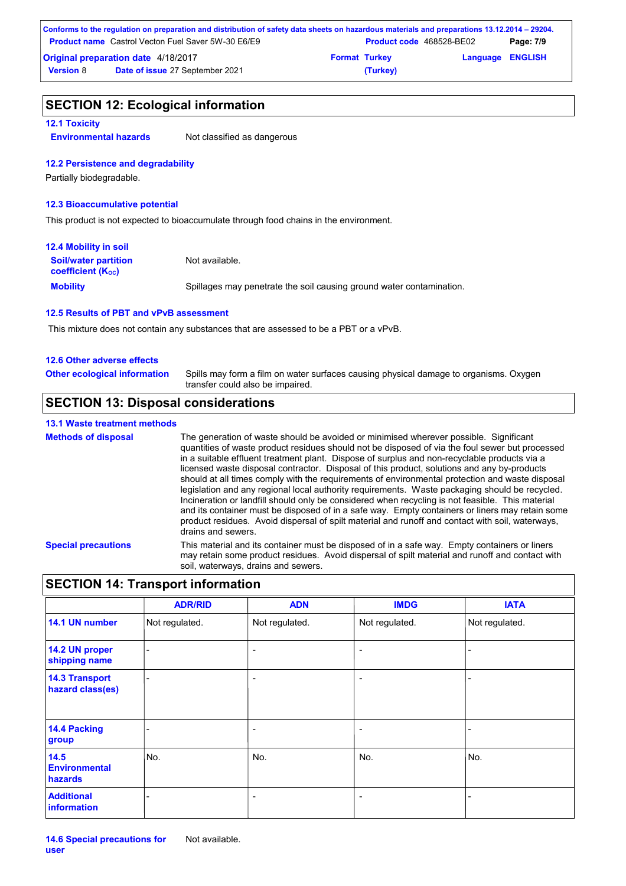| Conforms to the regulation on preparation and distribution of safety data sheets on hazardous materials and preparations 13.12.2014 – 29204. |                                                           |                      |                                 |                         |           |
|----------------------------------------------------------------------------------------------------------------------------------------------|-----------------------------------------------------------|----------------------|---------------------------------|-------------------------|-----------|
|                                                                                                                                              | <b>Product name</b> Castrol Vecton Fuel Saver 5W-30 E6/E9 |                      | <b>Product code</b> 468528-BE02 |                         | Page: 7/9 |
| <b>Original preparation date 4/18/2017</b>                                                                                                   |                                                           | <b>Format Turkey</b> |                                 | <b>Language ENGLISH</b> |           |
| <b>Version 8</b>                                                                                                                             | <b>Date of issue 27 September 2021</b>                    |                      | (Turkey)                        |                         |           |

### **SECTION 12: Ecological information**

#### **12.1 Toxicity**

**Environmental hazards** Not classified as dangerous

#### **12.2 Persistence and degradability**

Partially biodegradable.

#### **12.3 Bioaccumulative potential**

This product is not expected to bioaccumulate through food chains in the environment.

| <b>12.4 Mobility in soil</b>                                  |                                                                      |
|---------------------------------------------------------------|----------------------------------------------------------------------|
| <b>Soil/water partition</b><br>coefficient (K <sub>oc</sub> ) | Not available.                                                       |
| <b>Mobility</b>                                               | Spillages may penetrate the soil causing ground water contamination. |

#### **12.5 Results of PBT and vPvB assessment**

This mixture does not contain any substances that are assessed to be a PBT or a vPvB.

#### **12.6 Other adverse effects**

| <b>Other ecological information</b> | Spills may form a film on water surfaces causing physical damage to organisms. Oxygen |
|-------------------------------------|---------------------------------------------------------------------------------------|
|                                     | transfer could also be impaired.                                                      |

### **SECTION 13: Disposal considerations**

#### **13.1 Waste treatment methods**

```
Special precautions This material and its container must be disposed of in a safe way. Empty containers or liners 
                                may retain some product residues. Avoid dispersal of spilt material and runoff and contact with 
                                soil, waterways, drains and sewers.
Methods of disposal The generation of waste should be avoided or minimised wherever possible. Significant
                                quantities of waste product residues should not be disposed of via the foul sewer but processed 
                                in a suitable effluent treatment plant. Dispose of surplus and non-recyclable products via a 
                                licensed waste disposal contractor. Disposal of this product, solutions and any by-products 
                                should at all times comply with the requirements of environmental protection and waste disposal 
                                legislation and any regional local authority requirements. Waste packaging should be recycled.
                                Incineration or landfill should only be considered when recycling is not feasible. This material 
                                and its container must be disposed of in a safe way. Empty containers or liners may retain some 
                                product residues. Avoid dispersal of spilt material and runoff and contact with soil, waterways,
                                drains and sewers.
```
### **SECTION 14: Transport information**

|                                           | <b>ADR/RID</b>           | <b>ADN</b>               | <b>IMDG</b>              | <b>IATA</b>    |
|-------------------------------------------|--------------------------|--------------------------|--------------------------|----------------|
| 14.1 UN number                            | Not regulated.           | Not regulated.           | Not regulated.           | Not regulated. |
| 14.2 UN proper<br>shipping name           | $\overline{\phantom{0}}$ | $\overline{\phantom{a}}$ | $\overline{\phantom{a}}$ | -              |
| <b>14.3 Transport</b><br>hazard class(es) |                          | $\overline{ }$           | $\overline{a}$           |                |
| 14.4 Packing<br>group                     |                          | ۰                        | $\overline{a}$           |                |
| 14.5<br><b>Environmental</b><br>hazards   | No.                      | No.                      | No.                      | No.            |
| <b>Additional</b><br>information          |                          | ۰                        | $\overline{a}$           |                |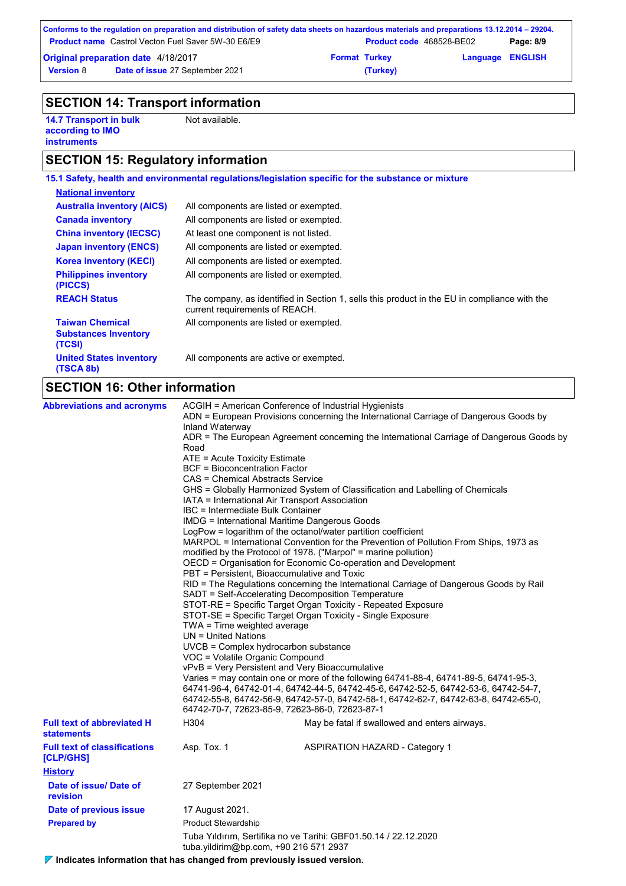|                                                           | Conforms to the regulation on preparation and distribution of safety data sheets on hazardous materials and preparations 13.12.2014 – 29204. |                      |                                 |                  |           |
|-----------------------------------------------------------|----------------------------------------------------------------------------------------------------------------------------------------------|----------------------|---------------------------------|------------------|-----------|
| <b>Product name</b> Castrol Vecton Fuel Saver 5W-30 E6/E9 |                                                                                                                                              |                      | <b>Product code</b> 468528-BE02 |                  | Page: 8/9 |
| <b>Original preparation date 4/18/2017</b>                |                                                                                                                                              | <b>Format Turkey</b> |                                 | Language ENGLISH |           |
| <b>Version 8</b>                                          | Date of issue 27 September 2021                                                                                                              |                      | (Turkey)                        |                  |           |

## **SECTION 14: Transport information**

**14.7 Transport in bulk according to IMO instruments**

Not available.

## **SECTION 15: Regulatory information**

|                                                                 | 15.1 Safety, health and environmental regulations/legislation specific for the substance or mixture                            |
|-----------------------------------------------------------------|--------------------------------------------------------------------------------------------------------------------------------|
| <b>National inventory</b>                                       |                                                                                                                                |
| <b>Australia inventory (AICS)</b>                               | All components are listed or exempted.                                                                                         |
| <b>Canada inventory</b>                                         | All components are listed or exempted.                                                                                         |
| <b>China inventory (IECSC)</b>                                  | At least one component is not listed.                                                                                          |
| <b>Japan inventory (ENCS)</b>                                   | All components are listed or exempted.                                                                                         |
| <b>Korea inventory (KECI)</b>                                   | All components are listed or exempted.                                                                                         |
| <b>Philippines inventory</b><br>(PICCS)                         | All components are listed or exempted.                                                                                         |
| <b>REACH Status</b>                                             | The company, as identified in Section 1, sells this product in the EU in compliance with the<br>current requirements of REACH. |
| <b>Taiwan Chemical</b><br><b>Substances Inventory</b><br>(TCSI) | All components are listed or exempted.                                                                                         |
| <b>United States inventory</b><br>(TSCA 8b)                     | All components are active or exempted.                                                                                         |
|                                                                 |                                                                                                                                |

## **SECTION 16: Other information**

| <b>Abbreviations and acronyms</b>                      | ACGIH = American Conference of Industrial Hygienists<br>ADN = European Provisions concerning the International Carriage of Dangerous Goods by<br>Inland Waterway<br>ADR = The European Agreement concerning the International Carriage of Dangerous Goods by<br>Road<br>ATE = Acute Toxicity Estimate<br><b>BCF</b> = Bioconcentration Factor<br><b>CAS = Chemical Abstracts Service</b><br>GHS = Globally Harmonized System of Classification and Labelling of Chemicals<br>IATA = International Air Transport Association<br>IBC = Intermediate Bulk Container<br>IMDG = International Maritime Dangerous Goods<br>LogPow = logarithm of the octanol/water partition coefficient<br>MARPOL = International Convention for the Prevention of Pollution From Ships, 1973 as<br>modified by the Protocol of 1978. ("Marpol" = marine pollution)<br>OECD = Organisation for Economic Co-operation and Development<br>PBT = Persistent, Bioaccumulative and Toxic<br>RID = The Regulations concerning the International Carriage of Dangerous Goods by Rail<br>SADT = Self-Accelerating Decomposition Temperature<br>STOT-RE = Specific Target Organ Toxicity - Repeated Exposure<br>STOT-SE = Specific Target Organ Toxicity - Single Exposure<br>TWA = Time weighted average<br>UN = United Nations<br>UVCB = Complex hydrocarbon substance<br>VOC = Volatile Organic Compound<br>vPvB = Very Persistent and Very Bioaccumulative<br>Varies = may contain one or more of the following 64741-88-4, 64741-89-5, 64741-95-3, |                                                                                                                                       |  |  |
|--------------------------------------------------------|---------------------------------------------------------------------------------------------------------------------------------------------------------------------------------------------------------------------------------------------------------------------------------------------------------------------------------------------------------------------------------------------------------------------------------------------------------------------------------------------------------------------------------------------------------------------------------------------------------------------------------------------------------------------------------------------------------------------------------------------------------------------------------------------------------------------------------------------------------------------------------------------------------------------------------------------------------------------------------------------------------------------------------------------------------------------------------------------------------------------------------------------------------------------------------------------------------------------------------------------------------------------------------------------------------------------------------------------------------------------------------------------------------------------------------------------------------------------------------------------------------------------------|---------------------------------------------------------------------------------------------------------------------------------------|--|--|
|                                                        |                                                                                                                                                                                                                                                                                                                                                                                                                                                                                                                                                                                                                                                                                                                                                                                                                                                                                                                                                                                                                                                                                                                                                                                                                                                                                                                                                                                                                                                                                                                           | 64742-55-8, 64742-56-9, 64742-57-0, 64742-58-1, 64742-62-7, 64742-63-8, 64742-65-0,<br>64742-70-7, 72623-85-9, 72623-86-0, 72623-87-1 |  |  |
| <b>Full text of abbreviated H</b><br><b>statements</b> | H304                                                                                                                                                                                                                                                                                                                                                                                                                                                                                                                                                                                                                                                                                                                                                                                                                                                                                                                                                                                                                                                                                                                                                                                                                                                                                                                                                                                                                                                                                                                      | May be fatal if swallowed and enters airways.                                                                                         |  |  |
| <b>Full text of classifications</b><br>[CLP/GHS]       | Asp. Tox. 1                                                                                                                                                                                                                                                                                                                                                                                                                                                                                                                                                                                                                                                                                                                                                                                                                                                                                                                                                                                                                                                                                                                                                                                                                                                                                                                                                                                                                                                                                                               | <b>ASPIRATION HAZARD - Category 1</b>                                                                                                 |  |  |
| <b>History</b>                                         |                                                                                                                                                                                                                                                                                                                                                                                                                                                                                                                                                                                                                                                                                                                                                                                                                                                                                                                                                                                                                                                                                                                                                                                                                                                                                                                                                                                                                                                                                                                           |                                                                                                                                       |  |  |
| Date of issue/ Date of<br>revision                     | 27 September 2021                                                                                                                                                                                                                                                                                                                                                                                                                                                                                                                                                                                                                                                                                                                                                                                                                                                                                                                                                                                                                                                                                                                                                                                                                                                                                                                                                                                                                                                                                                         |                                                                                                                                       |  |  |
| Date of previous issue                                 | 17 August 2021.                                                                                                                                                                                                                                                                                                                                                                                                                                                                                                                                                                                                                                                                                                                                                                                                                                                                                                                                                                                                                                                                                                                                                                                                                                                                                                                                                                                                                                                                                                           |                                                                                                                                       |  |  |
| <b>Prepared by</b>                                     | <b>Product Stewardship</b>                                                                                                                                                                                                                                                                                                                                                                                                                                                                                                                                                                                                                                                                                                                                                                                                                                                                                                                                                                                                                                                                                                                                                                                                                                                                                                                                                                                                                                                                                                |                                                                                                                                       |  |  |
|                                                        | Tuba Yıldırım, Sertifika no ve Tarihi: GBF01.50.14 / 22.12.2020<br>tuba.yildirim@bp.com, +90 216 571 2937                                                                                                                                                                                                                                                                                                                                                                                                                                                                                                                                                                                                                                                                                                                                                                                                                                                                                                                                                                                                                                                                                                                                                                                                                                                                                                                                                                                                                 |                                                                                                                                       |  |  |

**Indicates information that has changed from previously issued version.**